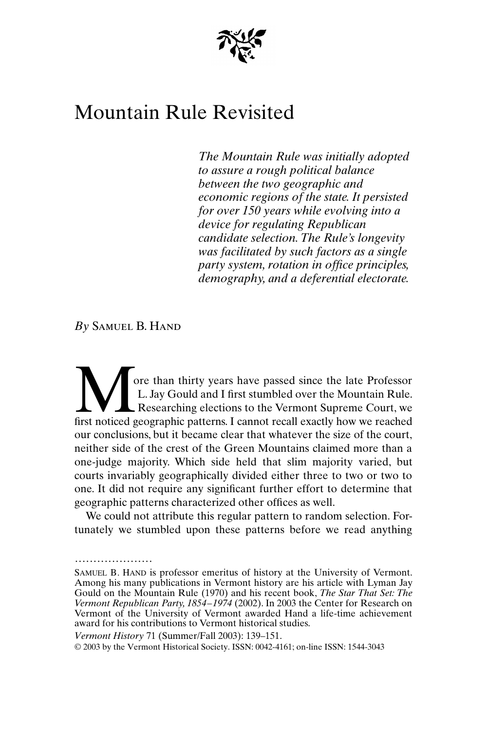

## Mountain Rule Revisited

*The Mountain Rule was initially adopted to assure a rough political balance between the two geographic and economic regions of the state. It persisted for over 150 years while evolving into a device for regulating Republican candidate selection. The Rule's longevity was facilitated by such factors as a single party system, rotation in office principles, demography, and a deferential electorate.*

*By* Samuel B. Hand

.....................

ore than thirty years have passed since the late Professor L. Jay Gould and I first stumbled over the Mountain Rule. Researching elections to the Vermont Supreme Court, we **first noticed geographic patterns.** I cannot recall exactly how we reached first noticed geographic patterns. I cannot recall exactly how we reached our conclusions, but it became clear that whatever the size of the court, neither side of the crest of the Green Mountains claimed more than a one-judge majority. Which side held that slim majority varied, but courts invariably geographically divided either three to two or two to one. It did not require any significant further effort to determine that geographic patterns characterized other offices as well.

We could not attribute this regular pattern to random selection. Fortunately we stumbled upon these patterns before we read anything

SAMUEL B. HAND is professor emeritus of history at the University of Vermont. Among his many publications in Vermont history are his article with Lyman Jay Gould on the Mountain Rule (1970) and his recent book, *The Star That Set: The Vermont Republican Party, 1854–1974* (2002). In 2003 the Center for Research on Vermont of the University of Vermont awarded Hand a life-time achievement award for his contributions to Vermont historical studies.

*Vermont History* 71 (Summer/Fall 2003): 139–151.

<sup>© 2003</sup> by the Vermont Historical Society. ISSN: 0042-4161; on-line ISSN: 1544-3043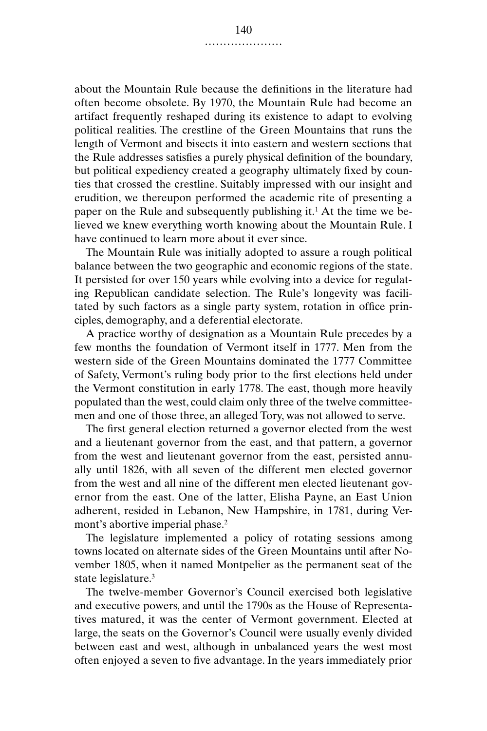about the Mountain Rule because the definitions in the literature had often become obsolete. By 1970, the Mountain Rule had become an artifact frequently reshaped during its existence to adapt to evolving political realities. The crestline of the Green Mountains that runs the length of Vermont and bisects it into eastern and western sections that the Rule addresses satisfies a purely physical definition of the boundary, but political expediency created a geography ultimately fixed by counties that crossed the crestline. Suitably impressed with our insight and erudition, we thereupon performed the academic rite of presenting a paper on the Rule and subsequently publishing it.<sup>1</sup> At the time we believed we knew everything worth knowing about the Mountain Rule. I have continued to learn more about it ever since.

The Mountain Rule was initially adopted to assure a rough political balance between the two geographic and economic regions of the state. It persisted for over 150 years while evolving into a device for regulating Republican candidate selection. The Rule's longevity was facilitated by such factors as a single party system, rotation in office principles, demography, and a deferential electorate.

A practice worthy of designation as a Mountain Rule precedes by a few months the foundation of Vermont itself in 1777. Men from the western side of the Green Mountains dominated the 1777 Committee of Safety, Vermont's ruling body prior to the first elections held under the Vermont constitution in early 1778. The east, though more heavily populated than the west, could claim only three of the twelve committeemen and one of those three, an alleged Tory, was not allowed to serve.

The first general election returned a governor elected from the west and a lieutenant governor from the east, and that pattern, a governor from the west and lieutenant governor from the east, persisted annually until 1826, with all seven of the different men elected governor from the west and all nine of the different men elected lieutenant governor from the east. One of the latter, Elisha Payne, an East Union adherent, resided in Lebanon, New Hampshire, in 1781, during Vermont's abortive imperial phase.<sup>2</sup>

The legislature implemented a policy of rotating sessions among towns located on alternate sides of the Green Mountains until after November 1805, when it named Montpelier as the permanent seat of the state legislature.3

The twelve-member Governor's Council exercised both legislative and executive powers, and until the 1790s as the House of Representatives matured, it was the center of Vermont government. Elected at large, the seats on the Governor's Council were usually evenly divided between east and west, although in unbalanced years the west most often enjoyed a seven to five advantage. In the years immediately prior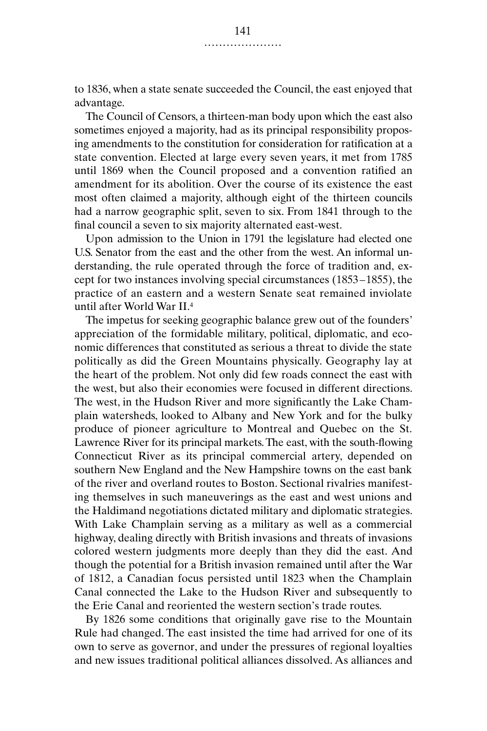to 1836, when a state senate succeeded the Council, the east enjoyed that advantage.

The Council of Censors, a thirteen-man body upon which the east also sometimes enjoyed a majority, had as its principal responsibility proposing amendments to the constitution for consideration for ratification at a state convention. Elected at large every seven years, it met from 1785 until 1869 when the Council proposed and a convention ratified an amendment for its abolition. Over the course of its existence the east most often claimed a majority, although eight of the thirteen councils had a narrow geographic split, seven to six. From 1841 through to the final council a seven to six majority alternated east-west.

Upon admission to the Union in 1791 the legislature had elected one U.S. Senator from the east and the other from the west. An informal understanding, the rule operated through the force of tradition and, except for two instances involving special circumstances (1853–1855), the practice of an eastern and a western Senate seat remained inviolate until after World War II.4

The impetus for seeking geographic balance grew out of the founders' appreciation of the formidable military, political, diplomatic, and economic differences that constituted as serious a threat to divide the state politically as did the Green Mountains physically. Geography lay at the heart of the problem. Not only did few roads connect the east with the west, but also their economies were focused in different directions. The west, in the Hudson River and more significantly the Lake Champlain watersheds, looked to Albany and New York and for the bulky produce of pioneer agriculture to Montreal and Quebec on the St. Lawrence River for its principal markets. The east, with the south-flowing Connecticut River as its principal commercial artery, depended on southern New England and the New Hampshire towns on the east bank of the river and overland routes to Boston. Sectional rivalries manifesting themselves in such maneuverings as the east and west unions and the Haldimand negotiations dictated military and diplomatic strategies. With Lake Champlain serving as a military as well as a commercial highway, dealing directly with British invasions and threats of invasions colored western judgments more deeply than they did the east. And though the potential for a British invasion remained until after the War of 1812, a Canadian focus persisted until 1823 when the Champlain Canal connected the Lake to the Hudson River and subsequently to the Erie Canal and reoriented the western section's trade routes.

By 1826 some conditions that originally gave rise to the Mountain Rule had changed. The east insisted the time had arrived for one of its own to serve as governor, and under the pressures of regional loyalties and new issues traditional political alliances dissolved. As alliances and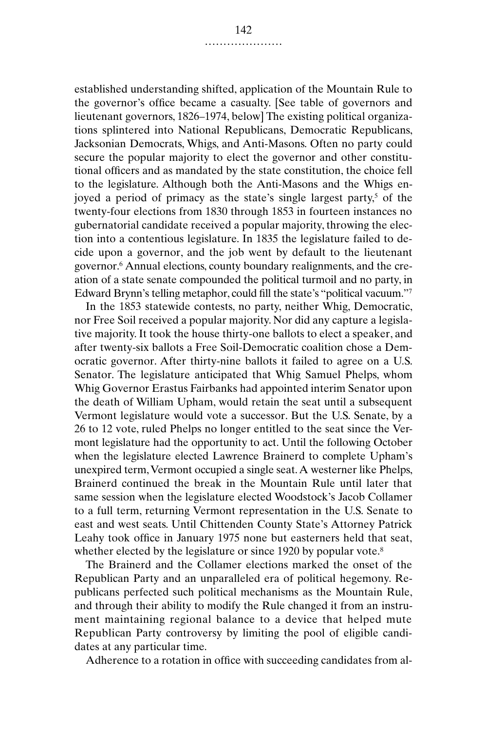established understanding shifted, application of the Mountain Rule to the governor's office became a casualty. [See table of governors and lieutenant governors, 1826–1974, below] The existing political organizations splintered into National Republicans, Democratic Republicans, Jacksonian Democrats, Whigs, and Anti-Masons. Often no party could secure the popular majority to elect the governor and other constitutional officers and as mandated by the state constitution, the choice fell to the legislature. Although both the Anti-Masons and the Whigs enjoyed a period of primacy as the state's single largest party,<sup>5</sup> of the twenty-four elections from 1830 through 1853 in fourteen instances no gubernatorial candidate received a popular majority, throwing the election into a contentious legislature. In 1835 the legislature failed to decide upon a governor, and the job went by default to the lieutenant governor.6 Annual elections, county boundary realignments, and the creation of a state senate compounded the political turmoil and no party, in Edward Brynn's telling metaphor, could fill the state's "political vacuum."7

In the 1853 statewide contests, no party, neither Whig, Democratic, nor Free Soil received a popular majority. Nor did any capture a legislative majority. It took the house thirty-one ballots to elect a speaker, and after twenty-six ballots a Free Soil-Democratic coalition chose a Democratic governor. After thirty-nine ballots it failed to agree on a U.S. Senator. The legislature anticipated that Whig Samuel Phelps, whom Whig Governor Erastus Fairbanks had appointed interim Senator upon the death of William Upham, would retain the seat until a subsequent Vermont legislature would vote a successor. But the U.S. Senate, by a 26 to 12 vote, ruled Phelps no longer entitled to the seat since the Vermont legislature had the opportunity to act. Until the following October when the legislature elected Lawrence Brainerd to complete Upham's unexpired term, Vermont occupied a single seat. A westerner like Phelps, Brainerd continued the break in the Mountain Rule until later that same session when the legislature elected Woodstock's Jacob Collamer to a full term, returning Vermont representation in the U.S. Senate to east and west seats. Until Chittenden County State's Attorney Patrick Leahy took office in January 1975 none but easterners held that seat, whether elected by the legislature or since 1920 by popular vote.<sup>8</sup>

The Brainerd and the Collamer elections marked the onset of the Republican Party and an unparalleled era of political hegemony. Republicans perfected such political mechanisms as the Mountain Rule, and through their ability to modify the Rule changed it from an instrument maintaining regional balance to a device that helped mute Republican Party controversy by limiting the pool of eligible candidates at any particular time.

Adherence to a rotation in office with succeeding candidates from al-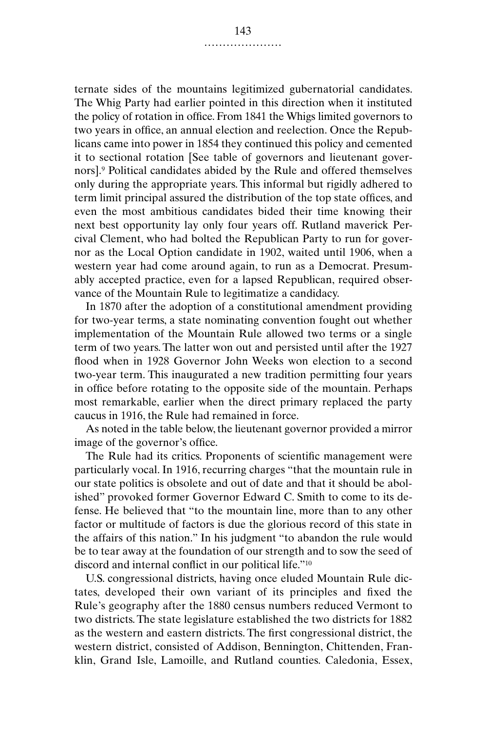ternate sides of the mountains legitimized gubernatorial candidates. The Whig Party had earlier pointed in this direction when it instituted the policy of rotation in office. From 1841 the Whigs limited governors to two years in office, an annual election and reelection. Once the Republicans came into power in 1854 they continued this policy and cemented it to sectional rotation [See table of governors and lieutenant governors].9 Political candidates abided by the Rule and offered themselves only during the appropriate years. This informal but rigidly adhered to term limit principal assured the distribution of the top state offices, and even the most ambitious candidates bided their time knowing their next best opportunity lay only four years off. Rutland maverick Percival Clement, who had bolted the Republican Party to run for governor as the Local Option candidate in 1902, waited until 1906, when a western year had come around again, to run as a Democrat. Presumably accepted practice, even for a lapsed Republican, required observance of the Mountain Rule to legitimatize a candidacy.

In 1870 after the adoption of a constitutional amendment providing for two-year terms, a state nominating convention fought out whether implementation of the Mountain Rule allowed two terms or a single term of two years. The latter won out and persisted until after the 1927 flood when in 1928 Governor John Weeks won election to a second two-year term. This inaugurated a new tradition permitting four years in office before rotating to the opposite side of the mountain. Perhaps most remarkable, earlier when the direct primary replaced the party caucus in 1916, the Rule had remained in force.

As noted in the table below, the lieutenant governor provided a mirror image of the governor's office.

The Rule had its critics. Proponents of scientific management were particularly vocal. In 1916, recurring charges "that the mountain rule in our state politics is obsolete and out of date and that it should be abolished" provoked former Governor Edward C. Smith to come to its defense. He believed that "to the mountain line, more than to any other factor or multitude of factors is due the glorious record of this state in the affairs of this nation." In his judgment "to abandon the rule would be to tear away at the foundation of our strength and to sow the seed of discord and internal conflict in our political life."10

U.S. congressional districts, having once eluded Mountain Rule dictates, developed their own variant of its principles and fixed the Rule's geography after the 1880 census numbers reduced Vermont to two districts. The state legislature established the two districts for 1882 as the western and eastern districts. The first congressional district, the western district, consisted of Addison, Bennington, Chittenden, Franklin, Grand Isle, Lamoille, and Rutland counties. Caledonia, Essex,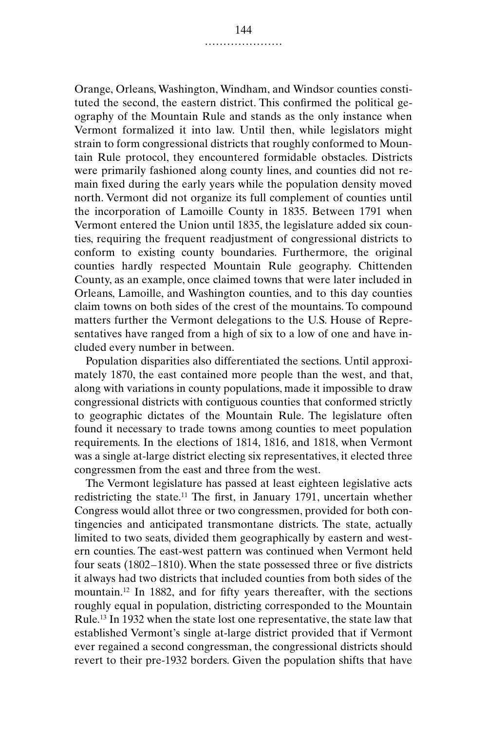Orange, Orleans, Washington, Windham, and Windsor counties constituted the second, the eastern district. This confirmed the political geography of the Mountain Rule and stands as the only instance when Vermont formalized it into law. Until then, while legislators might strain to form congressional districts that roughly conformed to Mountain Rule protocol, they encountered formidable obstacles. Districts were primarily fashioned along county lines, and counties did not remain fixed during the early years while the population density moved north. Vermont did not organize its full complement of counties until the incorporation of Lamoille County in 1835. Between 1791 when Vermont entered the Union until 1835, the legislature added six counties, requiring the frequent readjustment of congressional districts to conform to existing county boundaries. Furthermore, the original counties hardly respected Mountain Rule geography. Chittenden County, as an example, once claimed towns that were later included in Orleans, Lamoille, and Washington counties, and to this day counties claim towns on both sides of the crest of the mountains. To compound matters further the Vermont delegations to the U.S. House of Representatives have ranged from a high of six to a low of one and have included every number in between.

Population disparities also differentiated the sections. Until approximately 1870, the east contained more people than the west, and that, along with variations in county populations, made it impossible to draw congressional districts with contiguous counties that conformed strictly to geographic dictates of the Mountain Rule. The legislature often found it necessary to trade towns among counties to meet population requirements. In the elections of 1814, 1816, and 1818, when Vermont was a single at-large district electing six representatives, it elected three congressmen from the east and three from the west.

The Vermont legislature has passed at least eighteen legislative acts redistricting the state.11 The first, in January 1791, uncertain whether Congress would allot three or two congressmen, provided for both contingencies and anticipated transmontane districts. The state, actually limited to two seats, divided them geographically by eastern and western counties. The east-west pattern was continued when Vermont held four seats (1802–1810). When the state possessed three or five districts it always had two districts that included counties from both sides of the mountain.12 In 1882, and for fifty years thereafter, with the sections roughly equal in population, districting corresponded to the Mountain Rule.13 In 1932 when the state lost one representative, the state law that established Vermont's single at-large district provided that if Vermont ever regained a second congressman, the congressional districts should revert to their pre-1932 borders. Given the population shifts that have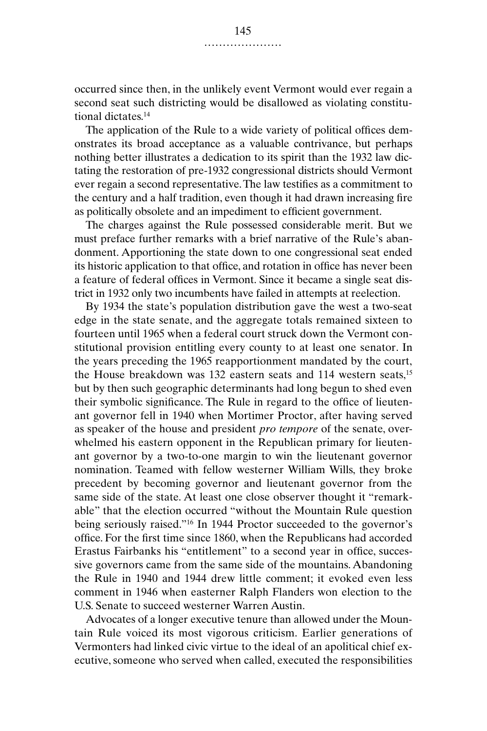occurred since then, in the unlikely event Vermont would ever regain a second seat such districting would be disallowed as violating constitutional dictates.14

The application of the Rule to a wide variety of political offices demonstrates its broad acceptance as a valuable contrivance, but perhaps nothing better illustrates a dedication to its spirit than the 1932 law dictating the restoration of pre-1932 congressional districts should Vermont ever regain a second representative. The law testifies as a commitment to the century and a half tradition, even though it had drawn increasing fire as politically obsolete and an impediment to efficient government.

The charges against the Rule possessed considerable merit. But we must preface further remarks with a brief narrative of the Rule's abandonment. Apportioning the state down to one congressional seat ended its historic application to that office, and rotation in office has never been a feature of federal offices in Vermont. Since it became a single seat district in 1932 only two incumbents have failed in attempts at reelection.

By 1934 the state's population distribution gave the west a two-seat edge in the state senate, and the aggregate totals remained sixteen to fourteen until 1965 when a federal court struck down the Vermont constitutional provision entitling every county to at least one senator. In the years preceding the 1965 reapportionment mandated by the court, the House breakdown was 132 eastern seats and 114 western seats,15 but by then such geographic determinants had long begun to shed even their symbolic significance. The Rule in regard to the office of lieutenant governor fell in 1940 when Mortimer Proctor, after having served as speaker of the house and president *pro tempore* of the senate, overwhelmed his eastern opponent in the Republican primary for lieutenant governor by a two-to-one margin to win the lieutenant governor nomination. Teamed with fellow westerner William Wills, they broke precedent by becoming governor and lieutenant governor from the same side of the state. At least one close observer thought it "remarkable" that the election occurred "without the Mountain Rule question being seriously raised."16 In 1944 Proctor succeeded to the governor's office. For the first time since 1860, when the Republicans had accorded Erastus Fairbanks his "entitlement" to a second year in office, successive governors came from the same side of the mountains. Abandoning the Rule in 1940 and 1944 drew little comment; it evoked even less comment in 1946 when easterner Ralph Flanders won election to the U.S. Senate to succeed westerner Warren Austin.

Advocates of a longer executive tenure than allowed under the Mountain Rule voiced its most vigorous criticism. Earlier generations of Vermonters had linked civic virtue to the ideal of an apolitical chief executive, someone who served when called, executed the responsibilities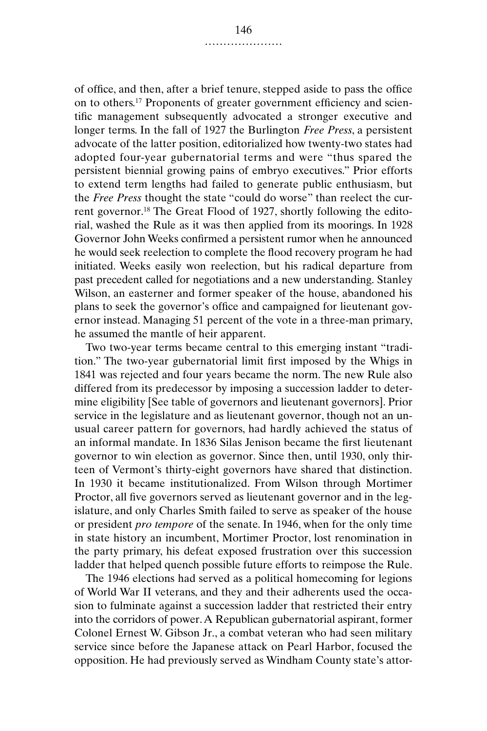of office, and then, after a brief tenure, stepped aside to pass the office on to others.17 Proponents of greater government efficiency and scientific management subsequently advocated a stronger executive and longer terms. In the fall of 1927 the Burlington *Free Press*, a persistent advocate of the latter position, editorialized how twenty-two states had adopted four-year gubernatorial terms and were "thus spared the persistent biennial growing pains of embryo executives." Prior efforts to extend term lengths had failed to generate public enthusiasm, but the *Free Press* thought the state "could do worse" than reelect the current governor.18 The Great Flood of 1927, shortly following the editorial, washed the Rule as it was then applied from its moorings. In 1928 Governor John Weeks confirmed a persistent rumor when he announced he would seek reelection to complete the flood recovery program he had initiated. Weeks easily won reelection, but his radical departure from past precedent called for negotiations and a new understanding. Stanley Wilson, an easterner and former speaker of the house, abandoned his plans to seek the governor's office and campaigned for lieutenant governor instead. Managing 51 percent of the vote in a three-man primary, he assumed the mantle of heir apparent.

Two two-year terms became central to this emerging instant "tradition." The two-year gubernatorial limit first imposed by the Whigs in 1841 was rejected and four years became the norm. The new Rule also differed from its predecessor by imposing a succession ladder to determine eligibility [See table of governors and lieutenant governors]. Prior service in the legislature and as lieutenant governor, though not an unusual career pattern for governors, had hardly achieved the status of an informal mandate. In 1836 Silas Jenison became the first lieutenant governor to win election as governor. Since then, until 1930, only thirteen of Vermont's thirty-eight governors have shared that distinction. In 1930 it became institutionalized. From Wilson through Mortimer Proctor, all five governors served as lieutenant governor and in the legislature, and only Charles Smith failed to serve as speaker of the house or president *pro tempore* of the senate. In 1946, when for the only time in state history an incumbent, Mortimer Proctor, lost renomination in the party primary, his defeat exposed frustration over this succession ladder that helped quench possible future efforts to reimpose the Rule.

The 1946 elections had served as a political homecoming for legions of World War II veterans, and they and their adherents used the occasion to fulminate against a succession ladder that restricted their entry into the corridors of power. A Republican gubernatorial aspirant, former Colonel Ernest W. Gibson Jr., a combat veteran who had seen military service since before the Japanese attack on Pearl Harbor, focused the opposition. He had previously served as Windham County state's attor-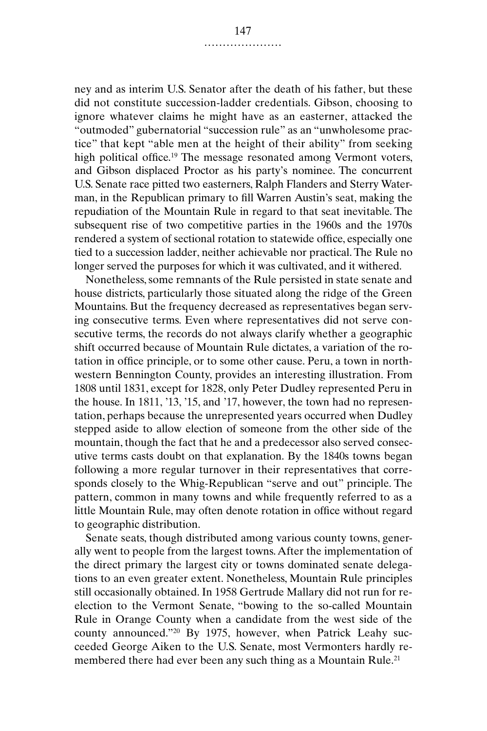ney and as interim U.S. Senator after the death of his father, but these did not constitute succession-ladder credentials. Gibson, choosing to ignore whatever claims he might have as an easterner, attacked the "outmoded" gubernatorial "succession rule" as an "unwholesome practice" that kept "able men at the height of their ability" from seeking high political office.<sup>19</sup> The message resonated among Vermont voters, and Gibson displaced Proctor as his party's nominee. The concurrent U.S. Senate race pitted two easterners, Ralph Flanders and Sterry Waterman, in the Republican primary to fill Warren Austin's seat, making the repudiation of the Mountain Rule in regard to that seat inevitable. The subsequent rise of two competitive parties in the 1960s and the 1970s rendered a system of sectional rotation to statewide office, especially one tied to a succession ladder, neither achievable nor practical. The Rule no longer served the purposes for which it was cultivated, and it withered.

Nonetheless, some remnants of the Rule persisted in state senate and house districts, particularly those situated along the ridge of the Green Mountains. But the frequency decreased as representatives began serving consecutive terms. Even where representatives did not serve consecutive terms, the records do not always clarify whether a geographic shift occurred because of Mountain Rule dictates, a variation of the rotation in office principle, or to some other cause. Peru, a town in northwestern Bennington County, provides an interesting illustration. From 1808 until 1831, except for 1828, only Peter Dudley represented Peru in the house. In 1811, '13, '15, and '17, however, the town had no representation, perhaps because the unrepresented years occurred when Dudley stepped aside to allow election of someone from the other side of the mountain, though the fact that he and a predecessor also served consecutive terms casts doubt on that explanation. By the 1840s towns began following a more regular turnover in their representatives that corresponds closely to the Whig-Republican "serve and out" principle. The pattern, common in many towns and while frequently referred to as a little Mountain Rule, may often denote rotation in office without regard to geographic distribution.

Senate seats, though distributed among various county towns, generally went to people from the largest towns. After the implementation of the direct primary the largest city or towns dominated senate delegations to an even greater extent. Nonetheless, Mountain Rule principles still occasionally obtained. In 1958 Gertrude Mallary did not run for reelection to the Vermont Senate, "bowing to the so-called Mountain Rule in Orange County when a candidate from the west side of the county announced."20 By 1975, however, when Patrick Leahy succeeded George Aiken to the U.S. Senate, most Vermonters hardly remembered there had ever been any such thing as a Mountain Rule.<sup>21</sup>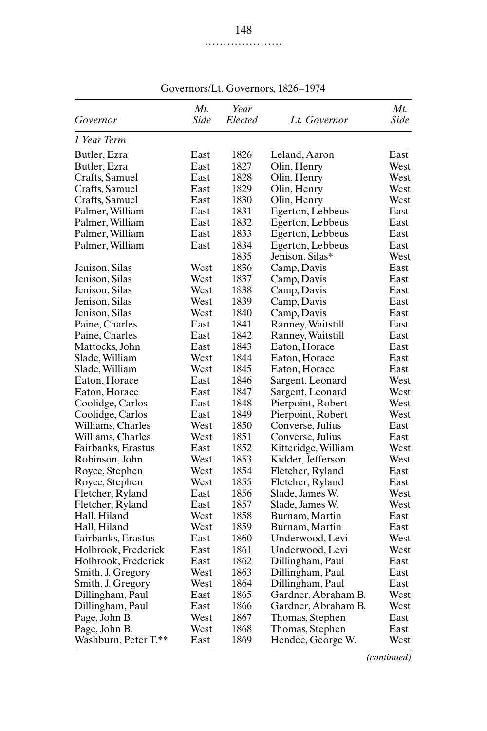| Governor             | Mt.<br>Side | Year<br>Elected | Lt. Governor        | $Mt$ .<br>Side |
|----------------------|-------------|-----------------|---------------------|----------------|
|                      |             |                 |                     |                |
| 1 Year Term          |             |                 |                     |                |
| Butler, Ezra         | East        | 1826            | Leland, Aaron       | East           |
| Butler, Ezra         | East        | 1827            | Olin, Henry         | West           |
| Crafts, Samuel       | East        | 1828            | Olin, Henry         | West           |
| Crafts, Samuel       | East        | 1829            | Olin, Henry         | West           |
| Crafts, Samuel       | East        | 1830            | Olin, Henry         | West           |
| Palmer, William      | East        | 1831            | Egerton, Lebbeus    | East           |
| Palmer, William      | East        | 1832            | Egerton, Lebbeus    | East           |
| Palmer, William      | East        | 1833            | Egerton, Lebbeus    | East           |
| Palmer, William      | East        | 1834            | Egerton, Lebbeus    | East           |
|                      |             | 1835            | Jenison, Silas*     | West           |
| Jenison, Silas       | West        | 1836            | Camp, Davis         | East           |
| Jenison, Silas       | West        | 1837            | Camp, Davis         | East           |
| Jenison, Silas       | West        | 1838            | Camp, Davis         | East           |
| Jenison, Silas       | West        | 1839            | Camp, Davis         | East           |
| Jenison, Silas       | West        | 1840            | Camp, Davis         | East           |
| Paine, Charles       | East        | 1841            | Ranney, Waitstill   | East           |
| Paine, Charles       | East        | 1842            | Ranney, Waitstill   | East           |
| Mattocks, John       | East        | 1843            | Eaton, Horace       | East           |
| Slade, William       | West        | 1844            | Eaton, Horace       | East           |
| Slade, William       | West        | 1845            | Eaton, Horace       | East           |
| Eaton, Horace        | East        | 1846            | Sargent, Leonard    | West           |
| Eaton, Horace        | East        | 1847            | Sargent, Leonard    | West           |
| Coolidge, Carlos     | East        | 1848            | Pierpoint, Robert   | West           |
| Coolidge, Carlos     | East        | 1849            | Pierpoint, Robert   | West           |
| Williams, Charles    | West        | 1850            | Converse, Julius    | East           |
| Williams, Charles    | West        | 1851            | Converse, Julius    | East           |
| Fairbanks, Erastus   | East        | 1852            | Kitteridge, William | West           |
| Robinson, John       | West        | 1853            | Kidder, Jefferson   | West           |
| Royce, Stephen       | West        | 1854            | Fletcher, Ryland    | East           |
| Royce, Stephen       | West        | 1855            | Fletcher, Ryland    | East           |
| Fletcher, Ryland     | East        | 1856            | Slade, James W.     | West           |
| Fletcher, Ryland     | East        | 1857            | Slade, James W.     | West           |
| Hall, Hiland         | West        | 1858            | Burnam, Martin      | East           |
| Hall, Hiland         | West        | 1859            | Burnam, Martin      | East           |
| Fairbanks, Erastus   | East        | 1860            | Underwood, Levi     | West           |
| Holbrook, Frederick  | East        | 1861            | Underwood, Levi     | West           |
| Holbrook, Frederick  | East        | 1862            | Dillingham, Paul    | East           |
| Smith, J. Gregory    | West        | 1863            | Dillingham, Paul    | East           |
| Smith, J. Gregory    | West        | 1864            | Dillingham, Paul    | East           |
| Dillingham, Paul     | East        | 1865            | Gardner, Abraham B. | West           |
| Dillingham, Paul     | East        | 1866            | Gardner, Abraham B. | West           |
| Page, John B.        | West        | 1867            | Thomas, Stephen     | East           |
| Page, John B.        | West        | 1868            | Thomas, Stephen     | East           |
| Washburn, Peter T.** | East        | 1869            | Hendee, George W.   | West           |

Governors/Lt. Governors, 1826–1974

*(continued)*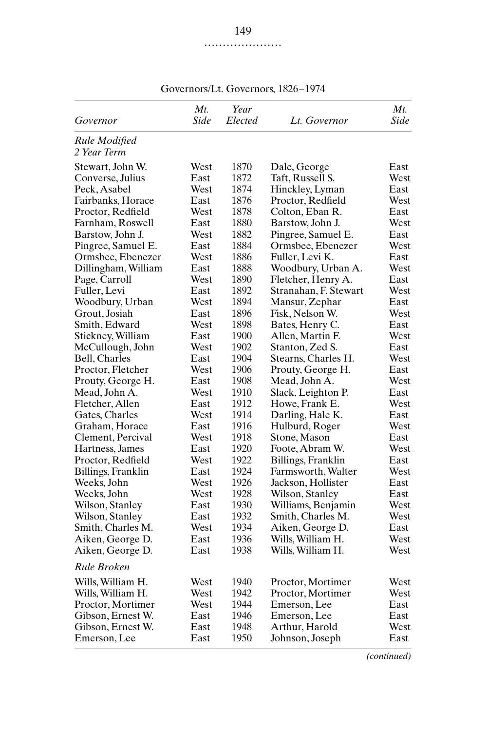|                     | Mt.  | Year    |                       | Mt.  |
|---------------------|------|---------|-----------------------|------|
| Governor            | Side | Elected | Lt. Governor          | Side |
| Rule Modified       |      |         |                       |      |
| 2 Year Term         |      |         |                       |      |
| Stewart, John W.    | West | 1870    | Dale, George          | East |
| Converse, Julius    | East | 1872    | Taft, Russell S.      | West |
| Peck, Asabel        | West | 1874    | Hinckley, Lyman       | East |
| Fairbanks, Horace   | East | 1876    | Proctor, Redfield     | West |
| Proctor, Redfield   | West | 1878    | Colton, Eban R.       | East |
| Farnham, Roswell    | East | 1880    | Barstow, John J.      | West |
| Barstow, John J.    | West | 1882    | Pingree, Samuel E.    | East |
| Pingree, Samuel E.  | East | 1884    | Ormsbee, Ebenezer     | West |
| Ormsbee, Ebenezer   | West | 1886    | Fuller, Levi K.       | East |
| Dillingham, William | East | 1888    | Woodbury, Urban A.    | West |
| Page, Carroll       | West | 1890    | Fletcher, Henry A.    | East |
| Fuller, Levi        | East | 1892    | Stranahan, F. Stewart | West |
| Woodbury, Urban     | West | 1894    | Mansur, Zephar        | East |
| Grout, Josiah       | East | 1896    | Fisk, Nelson W.       | West |
| Smith, Edward       | West | 1898    | Bates, Henry C.       | East |
| Stickney, William   | East | 1900    | Allen, Martin F.      | West |
| McCullough, John    | West | 1902    | Stanton, Zed S.       | East |
| Bell, Charles       | East | 1904    | Stearns, Charles H.   | West |
| Proctor, Fletcher   | West | 1906    | Prouty, George H.     | East |
| Prouty, George H.   | East | 1908    | Mead, John A.         | West |
| Mead, John A.       | West | 1910    | Slack, Leighton P.    | East |
| Fletcher, Allen     | East | 1912    | Howe, Frank E.        | West |
| Gates, Charles      | West | 1914    | Darling, Hale K.      | East |
| Graham, Horace      | East | 1916    | Hulburd, Roger        | West |
| Clement, Percival   | West | 1918    | Stone, Mason          | East |
| Hartness, James     | East | 1920    | Foote, Abram W.       | West |
| Proctor, Redfield   | West | 1922    | Billings, Franklin    | East |
| Billings, Franklin  | East | 1924    | Farmsworth, Walter    | West |
| Weeks, John         | West | 1926    | Jackson, Hollister    | East |
| Weeks, John         | West | 1928    | Wilson, Stanley       | East |
| Wilson, Stanley     | East | 1930    | Williams, Benjamin    | West |
| Wilson, Stanley     | East | 1932    | Smith, Charles M.     | West |
| Smith, Charles M.   | West | 1934    | Aiken, George D.      | East |
| Aiken, George D.    | East | 1936    | Wills, William H.     | West |
| Aiken, George D.    | East | 1938    | Wills, William H.     | West |
| Rule Broken         |      |         |                       |      |
| Wills, William H.   | West | 1940    | Proctor, Mortimer     | West |
| Wills, William H.   | West | 1942    | Proctor, Mortimer     | West |
| Proctor, Mortimer   | West | 1944    | Emerson, Lee          | East |
| Gibson, Ernest W.   | East | 1946    | Emerson, Lee          | East |
| Gibson, Ernest W.   | East | 1948    | Arthur, Harold        | West |
| Emerson, Lee        | East | 1950    | Johnson, Joseph       | East |

Governors/Lt. Governors, 1826–1974

*(continued)*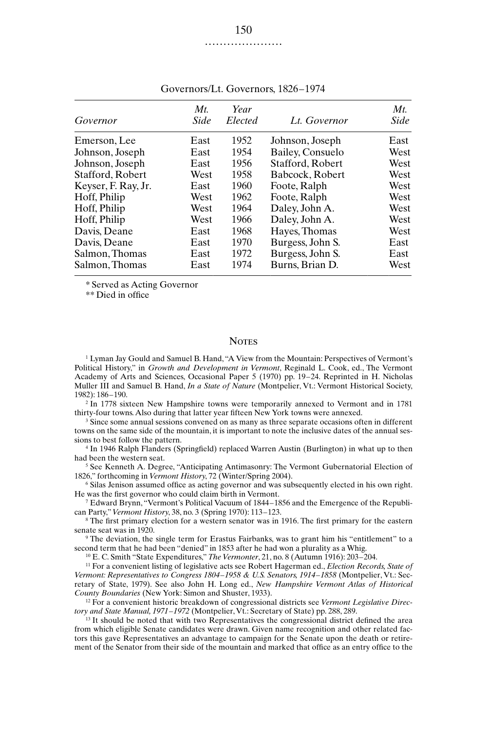| Governor            | Mt<br>Side | Year<br>Elected | Lt. Governor     | $Mt$ .<br>Side |
|---------------------|------------|-----------------|------------------|----------------|
| Emerson, Lee        | East       | 1952            | Johnson, Joseph  | East           |
| Johnson, Joseph     | East       | 1954            | Bailey, Consuelo | West           |
| Johnson, Joseph     | East       | 1956            | Stafford, Robert | West           |
| Stafford, Robert    | West       | 1958            | Babcock, Robert  | West           |
| Keyser, F. Ray, Jr. | East       | 1960            | Foote, Ralph     | West           |
| Hoff, Philip        | West       | 1962            | Foote, Ralph     | West           |
| Hoff, Philip        | West       | 1964            | Daley, John A.   | West           |
| Hoff, Philip        | West       | 1966            | Daley, John A.   | West           |
| Davis, Deane        | East       | 1968            | Hayes, Thomas    | West           |
| Davis, Deane        | East       | 1970            | Burgess, John S. | East           |
| Salmon, Thomas      | East       | 1972            | Burgess, John S. | East           |
| Salmon, Thomas      | East       | 1974            | Burns, Brian D.  | West           |

Governors/Lt. Governors, 1826–1974

\* Served as Acting Governor

\*\* Died in office

## **NOTES**

<sup>1</sup> Lyman Jay Gould and Samuel B. Hand, "A View from the Mountain: Perspectives of Vermont's Political History," in *Growth and Development in Vermont*, Reginald L. Cook, ed., The Vermont Academy of Arts and Sciences, Occasional Paper 5 (1970) pp. 19–24. Reprinted in H. Nicholas Muller III and Samuel B. Hand, *In a State of Nature* (Montpelier, Vt.: Vermont Historical Society, 1982): 186–190.

<sup>2</sup> In 1778 sixteen New Hampshire towns were temporarily annexed to Vermont and in 1781 thirty-four towns. Also during that latter year fifteen New York towns were annexed.

<sup>3</sup> Since some annual sessions convened on as many as three separate occasions often in different towns on the same side of the mountain, it is important to note the inclusive dates of the annual sessions to best follow the pattern.

<sup>4</sup> In 1946 Ralph Flanders (Springfield) replaced Warren Austin (Burlington) in what up to then had been the western seat.

<sup>5</sup> See Kenneth A. Degree, "Anticipating Antimasonry: The Vermont Gubernatorial Election of 1826," forthcoming in *Vermont History*, 72 (Winter/Spring 2004).

<sup>6</sup> Silas Jenison assumed office as acting governor and was subsequently elected in his own right. He was the first governor who could claim birth in Vermont.

<sup>7</sup> Edward Brynn, "Vermont's Political Vacuum of 1844–1856 and the Emergence of the Republican Party," *Vermont History*, 38, no. 3 (Spring 1970): 113–123.

<sup>8</sup> The first primary election for a western senator was in 1916. The first primary for the eastern senate seat was in 1920.

<sup>9</sup> The deviation, the single term for Erastus Fairbanks, was to grant him his "entitlement" to a second term that he had been "denied" in 1853 after he had won a plurality as a Whig.

<sup>10</sup> E. C. Smith "State Expenditures," *The Vermonter*, 21, no. 8 (Autumn 1916): 203–204.

<sup>11</sup> For a convenient listing of legislative acts see Robert Hagerman ed., *Election Records, State of Vermont: Representatives to Congress 1804–1958 & U.S. Senators, 1914–1858* (Montpelier, Vt.: Secretary of State, 1979). See also John H. Long ed., *New Hampshire Vermont Atlas of Historical County Boundaries* (New York: Simon and Shuster, 1933).

<sup>12</sup> For a convenient historic breakdown of congressional districts see *Vermont Legislative Directory and State Manual, 1971–1972* (Montpelier, Vt.: Secretary of State) pp. 288, 289.

<sup>13</sup> It should be noted that with two Representatives the congressional district defined the area from which eligible Senate candidates were drawn. Given name recognition and other related factors this gave Representatives an advantage to campaign for the Senate upon the death or retirement of the Senator from their side of the mountain and marked that office as an entry office to the